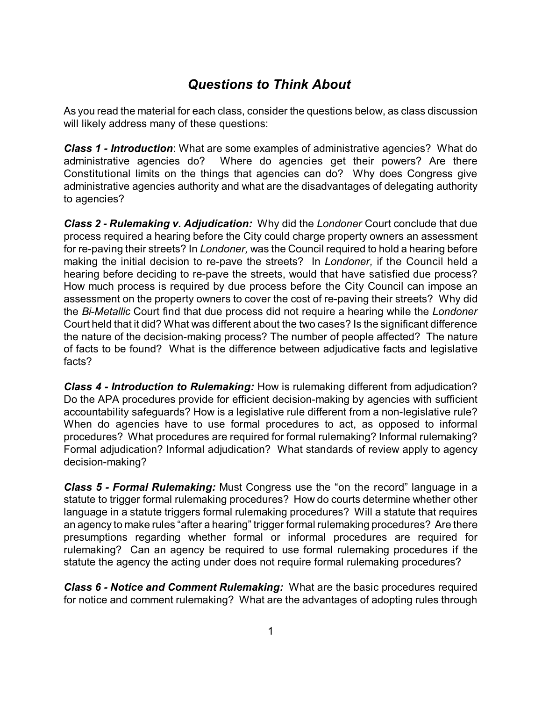## *Questions to Think About*

As you read the material for each class, consider the questions below, as class discussion will likely address many of these questions:

*Class 1 - Introduction*: What are some examples of administrative agencies? What do administrative agencies do? Where do agencies get their powers? Are there Constitutional limits on the things that agencies can do? Why does Congress give administrative agencies authority and what are the disadvantages of delegating authority to agencies?

*Class 2 - Rulemaking v. Adjudication:* Why did the *Londoner* Court conclude that due process required a hearing before the City could charge property owners an assessment for re-paving their streets? In *Londoner,* was the Council required to hold a hearing before making the initial decision to re-pave the streets? In *Londoner,* if the Council held a hearing before deciding to re-pave the streets, would that have satisfied due process? How much process is required by due process before the City Council can impose an assessment on the property owners to cover the cost of re-paving their streets? Why did the *Bi-Metallic* Court find that due process did not require a hearing while the *Londoner* Court held that it did? What was different about the two cases? Is the significant difference the nature of the decision-making process? The number of people affected? The nature of facts to be found? What is the difference between adjudicative facts and legislative facts?

*Class 4 - Introduction to Rulemaking:* How is rulemaking different from adjudication? Do the APA procedures provide for efficient decision-making by agencies with sufficient accountability safeguards? How is a legislative rule different from a non-legislative rule? When do agencies have to use formal procedures to act, as opposed to informal procedures? What procedures are required for formal rulemaking? Informal rulemaking? Formal adjudication? Informal adjudication? What standards of review apply to agency decision-making?

*Class 5 - Formal Rulemaking:* Must Congress use the "on the record" language in a statute to trigger formal rulemaking procedures? How do courts determine whether other language in a statute triggers formal rulemaking procedures? Will a statute that requires an agency to make rules "after a hearing" trigger formal rulemaking procedures? Are there presumptions regarding whether formal or informal procedures are required for rulemaking? Can an agency be required to use formal rulemaking procedures if the statute the agency the acting under does not require formal rulemaking procedures?

*Class 6 - Notice and Comment Rulemaking:* What are the basic procedures required for notice and comment rulemaking? What are the advantages of adopting rules through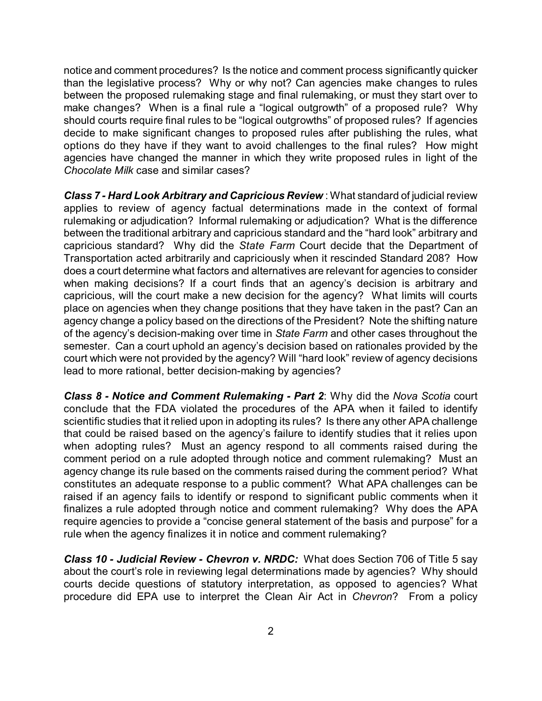notice and comment procedures? Is the notice and comment process significantly quicker than the legislative process? Why or why not? Can agencies make changes to rules between the proposed rulemaking stage and final rulemaking, or must they start over to make changes? When is a final rule a "logical outgrowth" of a proposed rule? Why should courts require final rules to be "logical outgrowths" of proposed rules? If agencies decide to make significant changes to proposed rules after publishing the rules, what options do they have if they want to avoid challenges to the final rules? How might agencies have changed the manner in which they write proposed rules in light of the *Chocolate Milk* case and similar cases?

*Class 7 - Hard Look Arbitrary and Capricious Review* : What standard of judicial review applies to review of agency factual determinations made in the context of formal rulemaking or adjudication? Informal rulemaking or adjudication? What is the difference between the traditional arbitrary and capricious standard and the "hard look" arbitrary and capricious standard? Why did the *State Farm* Court decide that the Department of Transportation acted arbitrarily and capriciously when it rescinded Standard 208? How does a court determine what factors and alternatives are relevant for agencies to consider when making decisions? If a court finds that an agency's decision is arbitrary and capricious, will the court make a new decision for the agency? What limits will courts place on agencies when they change positions that they have taken in the past? Can an agency change a policy based on the directions of the President? Note the shifting nature of the agency's decision-making over time in *State Farm* and other cases throughout the semester. Can a court uphold an agency's decision based on rationales provided by the court which were not provided by the agency? Will "hard look" review of agency decisions lead to more rational, better decision-making by agencies?

*Class 8 - Notice and Comment Rulemaking - Part 2*: Why did the *Nova Scotia* court conclude that the FDA violated the procedures of the APA when it failed to identify scientific studies that it relied upon in adopting its rules? Is there any other APA challenge that could be raised based on the agency's failure to identify studies that it relies upon when adopting rules? Must an agency respond to all comments raised during the comment period on a rule adopted through notice and comment rulemaking? Must an agency change its rule based on the comments raised during the comment period? What constitutes an adequate response to a public comment? What APA challenges can be raised if an agency fails to identify or respond to significant public comments when it finalizes a rule adopted through notice and comment rulemaking? Why does the APA require agencies to provide a "concise general statement of the basis and purpose" for a rule when the agency finalizes it in notice and comment rulemaking?

*Class 10 - Judicial Review - Chevron v. NRDC:* What does Section 706 of Title 5 say about the court's role in reviewing legal determinations made by agencies? Why should courts decide questions of statutory interpretation, as opposed to agencies? What procedure did EPA use to interpret the Clean Air Act in *Chevron*? From a policy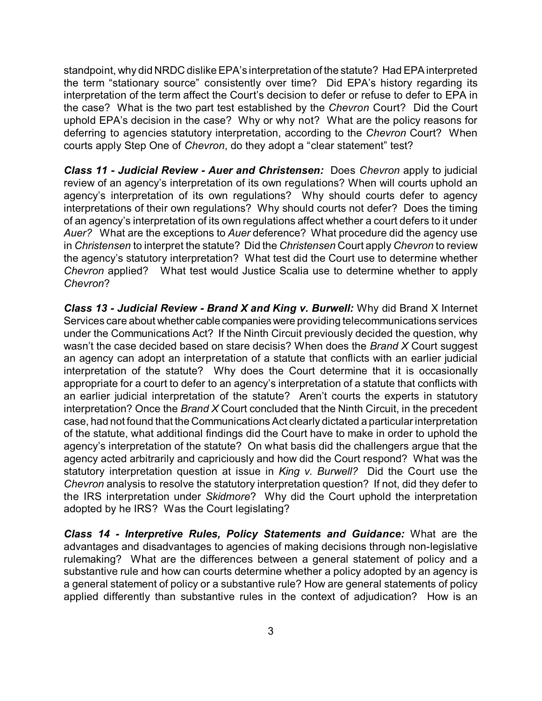standpoint, why did NRDC dislike EPA's interpretation of the statute? Had EPAinterpreted the term "stationary source" consistently over time? Did EPA's history regarding its interpretation of the term affect the Court's decision to defer or refuse to defer to EPA in the case? What is the two part test established by the *Chevron* Court? Did the Court uphold EPA's decision in the case? Why or why not? What are the policy reasons for deferring to agencies statutory interpretation, according to the *Chevron* Court? When courts apply Step One of *Chevron*, do they adopt a "clear statement" test?

*Class 11 - Judicial Review - Auer and Christensen:* Does *Chevron* apply to judicial review of an agency's interpretation of its own regulations? When will courts uphold an agency's interpretation of its own regulations? Why should courts defer to agency interpretations of their own regulations? Why should courts not defer? Does the timing of an agency's interpretation of its own regulations affect whether a court defers to it under *Auer?* What are the exceptions to *Auer* deference? What procedure did the agency use in *Christensen* to interpret the statute? Did the *Christensen* Court apply *Chevron* to review the agency's statutory interpretation? What test did the Court use to determine whether *Chevron* applied? What test would Justice Scalia use to determine whether to apply *Chevron*?

*Class 13 - Judicial Review - Brand X and King v. Burwell:* Why did Brand X Internet Services care about whether cable companies were providing telecommunications services under the Communications Act? If the Ninth Circuit previously decided the question, why wasn't the case decided based on stare decisis? When does the *Brand X* Court suggest an agency can adopt an interpretation of a statute that conflicts with an earlier judicial interpretation of the statute? Why does the Court determine that it is occasionally appropriate for a court to defer to an agency's interpretation of a statute that conflicts with an earlier judicial interpretation of the statute? Aren't courts the experts in statutory interpretation? Once the *Brand X* Court concluded that the Ninth Circuit, in the precedent case, had not found that the Communications Act clearly dictated a particularinterpretation of the statute, what additional findings did the Court have to make in order to uphold the agency's interpretation of the statute? On what basis did the challengers argue that the agency acted arbitrarily and capriciously and how did the Court respond? What was the statutory interpretation question at issue in *King v. Burwell?* Did the Court use the *Chevron* analysis to resolve the statutory interpretation question? If not, did they defer to the IRS interpretation under *Skidmore*? Why did the Court uphold the interpretation adopted by he IRS? Was the Court legislating?

*Class 14 - Interpretive Rules, Policy Statements and Guidance:* What are the advantages and disadvantages to agencies of making decisions through non-legislative rulemaking? What are the differences between a general statement of policy and a substantive rule and how can courts determine whether a policy adopted by an agency is a general statement of policy or a substantive rule? How are general statements of policy applied differently than substantive rules in the context of adjudication? How is an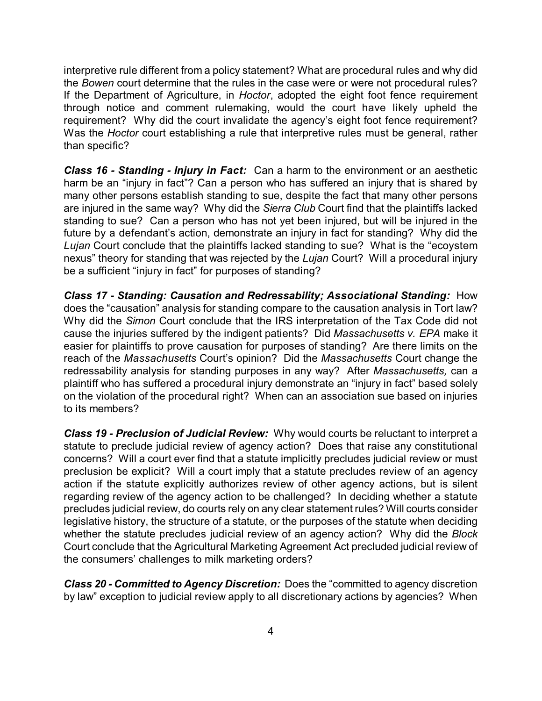interpretive rule different from a policy statement? What are procedural rules and why did the *Bowen* court determine that the rules in the case were or were not procedural rules? If the Department of Agriculture, in *Hoctor*, adopted the eight foot fence requirement through notice and comment rulemaking, would the court have likely upheld the requirement? Why did the court invalidate the agency's eight foot fence requirement? Was the *Hoctor* court establishing a rule that interpretive rules must be general, rather than specific?

*Class 16 - Standing - Injury in Fact:* Can a harm to the environment or an aesthetic harm be an "injury in fact"? Can a person who has suffered an injury that is shared by many other persons establish standing to sue, despite the fact that many other persons are injured in the same way? Why did the *Sierra Club* Court find that the plaintiffs lacked standing to sue? Can a person who has not yet been injured, but will be injured in the future by a defendant's action, demonstrate an injury in fact for standing? Why did the *Lujan* Court conclude that the plaintiffs lacked standing to sue? What is the "ecoystem nexus" theory for standing that was rejected by the *Lujan* Court? Will a procedural injury be a sufficient "injury in fact" for purposes of standing?

*Class 17 - Standing: Causation and Redressability; Associational Standing:* How does the "causation" analysis for standing compare to the causation analysis in Tort law? Why did the *Simon* Court conclude that the IRS interpretation of the Tax Code did not cause the injuries suffered by the indigent patients? Did *Massachusetts v. EPA* make it easier for plaintiffs to prove causation for purposes of standing? Are there limits on the reach of the *Massachusetts* Court's opinion? Did the *Massachusetts* Court change the redressability analysis for standing purposes in any way? After *Massachusetts,* can a plaintiff who has suffered a procedural injury demonstrate an "injury in fact" based solely on the violation of the procedural right? When can an association sue based on injuries to its members?

*Class 19 - Preclusion of Judicial Review:* Why would courts be reluctant to interpret a statute to preclude judicial review of agency action? Does that raise any constitutional concerns? Will a court ever find that a statute implicitly precludes judicial review or must preclusion be explicit? Will a court imply that a statute precludes review of an agency action if the statute explicitly authorizes review of other agency actions, but is silent regarding review of the agency action to be challenged? In deciding whether a statute precludes judicial review, do courts rely on any clear statement rules? Will courts consider legislative history, the structure of a statute, or the purposes of the statute when deciding whether the statute precludes judicial review of an agency action? Why did the *Block* Court conclude that the Agricultural Marketing Agreement Act precluded judicial review of the consumers' challenges to milk marketing orders?

*Class 20 - Committed to Agency Discretion:* Does the "committed to agency discretion by law" exception to judicial review apply to all discretionary actions by agencies? When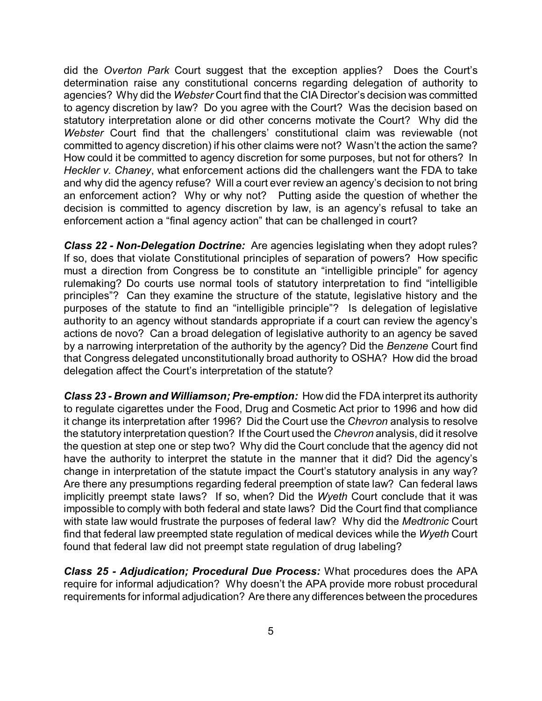did the *Overton Park* Court suggest that the exception applies? Does the Court's determination raise any constitutional concerns regarding delegation of authority to agencies? Why did the *Webster* Court find that the CIA Director's decision was committed to agency discretion by law? Do you agree with the Court? Was the decision based on statutory interpretation alone or did other concerns motivate the Court? Why did the *Webster* Court find that the challengers' constitutional claim was reviewable (not committed to agency discretion) if his other claims were not? Wasn't the action the same? How could it be committed to agency discretion for some purposes, but not for others? In *Heckler v. Chaney*, what enforcement actions did the challengers want the FDA to take and why did the agency refuse? Will a court ever review an agency's decision to not bring an enforcement action? Why or why not? Putting aside the question of whether the decision is committed to agency discretion by law, is an agency's refusal to take an enforcement action a "final agency action" that can be challenged in court?

*Class 22 - Non-Delegation Doctrine:* Are agencies legislating when they adopt rules? If so, does that violate Constitutional principles of separation of powers? How specific must a direction from Congress be to constitute an "intelligible principle" for agency rulemaking? Do courts use normal tools of statutory interpretation to find "intelligible principles"? Can they examine the structure of the statute, legislative history and the purposes of the statute to find an "intelligible principle"? Is delegation of legislative authority to an agency without standards appropriate if a court can review the agency's actions de novo? Can a broad delegation of legislative authority to an agency be saved by a narrowing interpretation of the authority by the agency? Did the *Benzene* Court find that Congress delegated unconstitutionally broad authority to OSHA? How did the broad delegation affect the Court's interpretation of the statute?

*Class 23 - Brown and Williamson; Pre-emption:* How did the FDA interpret its authority to regulate cigarettes under the Food, Drug and Cosmetic Act prior to 1996 and how did it change its interpretation after 1996? Did the Court use the *Chevron* analysis to resolve the statutory interpretation question? If the Court used the *Chevron* analysis, did it resolve the question at step one or step two? Why did the Court conclude that the agency did not have the authority to interpret the statute in the manner that it did? Did the agency's change in interpretation of the statute impact the Court's statutory analysis in any way? Are there any presumptions regarding federal preemption of state law? Can federal laws implicitly preempt state laws? If so, when? Did the *Wyeth* Court conclude that it was impossible to comply with both federal and state laws? Did the Court find that compliance with state law would frustrate the purposes of federal law? Why did the *Medtronic* Court find that federal law preempted state regulation of medical devices while the *Wyeth* Court found that federal law did not preempt state regulation of drug labeling?

*Class 25 - Adjudication; Procedural Due Process:* What procedures does the APA require for informal adjudication? Why doesn't the APA provide more robust procedural requirements for informal adjudication? Are there any differences between the procedures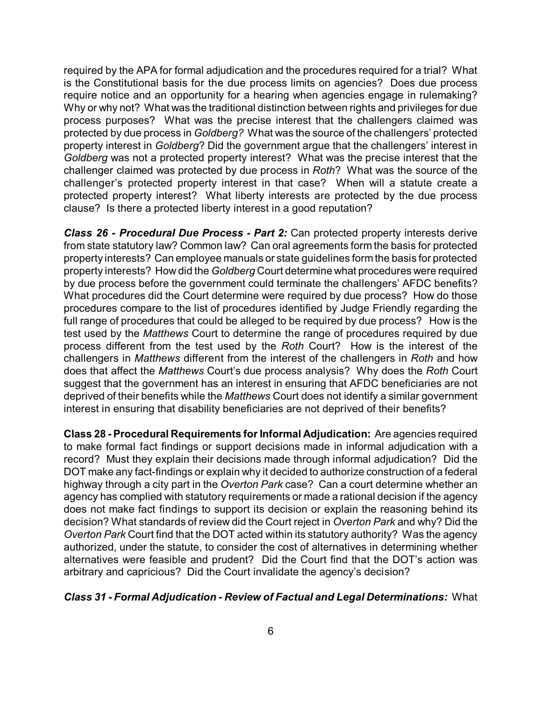required by the APA for formal adjudication and the procedures required for a trial? What is the Constitutional basis for the due process limits on agencies? Does due process require notice and an opportunity for a hearing when agencies engage in rulemaking? Why or why not? What was the traditional distinction between rights and privileges for due process purposes? What was the precise interest that the challengers claimed was protected by due process in *Goldberg?* What was the source of the challengers' protected property interest in *Goldberg*? Did the government argue that the challengers' interest in *Goldberg* was not a protected property interest? What was the precise interest that the challenger claimed was protected by due process in *Roth*? What was the source of the challenger's protected property interest in that case? When will a statute create a protected property interest? What liberty interests are protected by the due process clause? Is there a protected liberty interest in a good reputation?

*Class 26 - Procedural Due Process - Part 2:* Can protected property interests derive from state statutory law? Common law? Can oral agreements form the basis for protected property interests? Can employee manuals or state guidelines form the basis for protected property interests? How did the *Goldberg* Court determine what procedures were required by due process before the government could terminate the challengers' AFDC benefits? What procedures did the Court determine were required by due process? How do those procedures compare to the list of procedures identified by Judge Friendly regarding the full range of procedures that could be alleged to be required by due process? How is the test used by the *Matthews* Court to determine the range of procedures required by due process different from the test used by the *Roth* Court? How is the interest of the challengers in *Matthews* different from the interest of the challengers in *Roth* and how does that affect the *Matthews* Court's due process analysis? Why does the *Roth* Court suggest that the government has an interest in ensuring that AFDC beneficiaries are not deprived of their benefits while the *Matthews* Court does not identify a similar government interest in ensuring that disability beneficiaries are not deprived of their benefits?

**Class 28 - Procedural Requirements forInformal Adjudication:** Are agencies required to make formal fact findings or support decisions made in informal adjudication with a record? Must they explain their decisions made through informal adjudication? Did the DOT make any fact-findings or explain why it decided to authorize construction of a federal highway through a city part in the *Overton Park* case? Can a court determine whether an agency has complied with statutory requirements or made a rational decision if the agency does not make fact findings to support its decision or explain the reasoning behind its decision? What standards of review did the Court reject in *Overton Park* and why? Did the *Overton Park* Court find that the DOT acted within its statutory authority? Was the agency authorized, under the statute, to consider the cost of alternatives in determining whether alternatives were feasible and prudent? Did the Court find that the DOT's action was arbitrary and capricious? Did the Court invalidate the agency's decision?

## *Class 31 - Formal Adjudication - Review of Factual and Legal Determinations:* What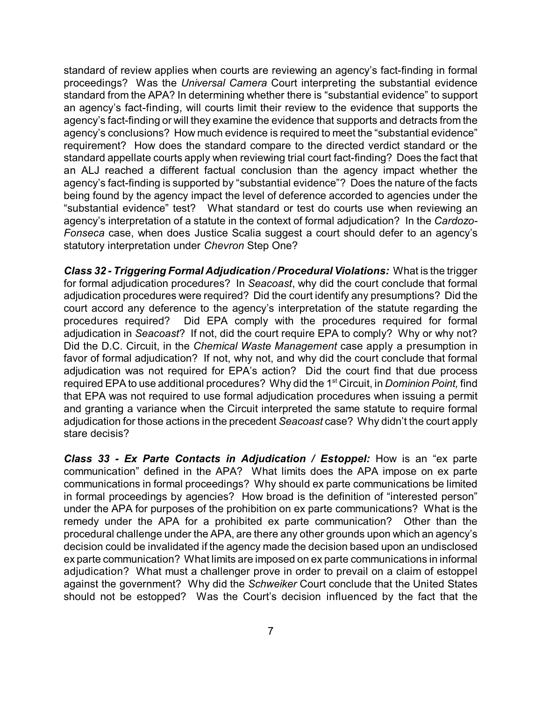standard of review applies when courts are reviewing an agency's fact-finding in formal proceedings? Was the *Universal Camera* Court interpreting the substantial evidence standard from the APA? In determining whether there is "substantial evidence" to support an agency's fact-finding, will courts limit their review to the evidence that supports the agency's fact-finding or will they examine the evidence that supports and detracts from the agency's conclusions? How much evidence is required to meet the "substantial evidence" requirement? How does the standard compare to the directed verdict standard or the standard appellate courts apply when reviewing trial court fact-finding? Does the fact that an ALJ reached a different factual conclusion than the agency impact whether the agency's fact-finding is supported by "substantial evidence"? Does the nature of the facts being found by the agency impact the level of deference accorded to agencies under the "substantial evidence" test? What standard or test do courts use when reviewing an agency's interpretation of a statute in the context of formal adjudication? In the *Cardozo-Fonseca* case, when does Justice Scalia suggest a court should defer to an agency's statutory interpretation under *Chevron* Step One?

*Class 32 - Triggering Formal Adjudication / Procedural Violations:* What is the trigger for formal adjudication procedures? In *Seacoast*, why did the court conclude that formal adjudication procedures were required? Did the court identify any presumptions? Did the court accord any deference to the agency's interpretation of the statute regarding the procedures required? Did EPA comply with the procedures required for formal adjudication in *Seacoast*? If not, did the court require EPA to comply? Why or why not? Did the D.C. Circuit, in the *Chemical Waste Management* case apply a presumption in favor of formal adjudication? If not, why not, and why did the court conclude that formal adjudication was not required for EPA's action? Did the court find that due process required EPA to use additional procedures? Why did the 1<sup>st</sup> Circuit, in *Dominion Point,* find that EPA was not required to use formal adjudication procedures when issuing a permit and granting a variance when the Circuit interpreted the same statute to require formal adjudication for those actions in the precedent *Seacoast* case? Why didn't the court apply stare decisis?

*Class 33 - Ex Parte Contacts in Adjudication / Estoppel:* How is an "ex parte communication" defined in the APA? What limits does the APA impose on ex parte communications in formal proceedings? Why should ex parte communications be limited in formal proceedings by agencies? How broad is the definition of "interested person" under the APA for purposes of the prohibition on ex parte communications? What is the remedy under the APA for a prohibited ex parte communication? Other than the procedural challenge under the APA, are there any other grounds upon which an agency's decision could be invalidated if the agency made the decision based upon an undisclosed ex parte communication? What limits are imposed on ex parte communications in informal adjudication? What must a challenger prove in order to prevail on a claim of estoppel against the government? Why did the *Schweiker* Court conclude that the United States should not be estopped? Was the Court's decision influenced by the fact that the